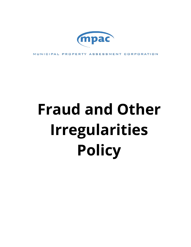

MUNICIPAL PROPERTY ASSESSMENT CORPORATION

# **Fraud and Other Irregularities Policy**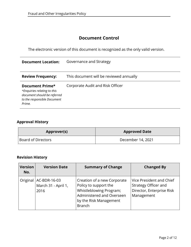#### **Document Control**

The electronic version of this document is recognized as the only valid version.

| <b>Document Location:</b>                                                                                              | Governance and Strategy                 |
|------------------------------------------------------------------------------------------------------------------------|-----------------------------------------|
| <b>Review Frequency:</b>                                                                                               | This document will be reviewed annually |
| Document Prime*<br>*Enquiries relating to this<br>document should be referred<br>to the responsible Document<br>Prime. | Corporate Audit and Risk Officer        |

#### **Approval History**

| Approver(s)        | <b>Approved Date</b> |
|--------------------|----------------------|
| Board of Directors | December 14, 2021    |

## **Revision History**

| <b>Version</b><br>No. | <b>Version Date</b>                         | <b>Summary of Change</b>                                                                                                                                | <b>Changed By</b>                                                                           |
|-----------------------|---------------------------------------------|---------------------------------------------------------------------------------------------------------------------------------------------------------|---------------------------------------------------------------------------------------------|
| Original              | AC-BDR-16-03<br>March 31 - April 1,<br>2016 | Creation of a new Corporate<br>Policy to support the<br>Whistleblowing Program;<br>Administered and Overseen<br>by the Risk Management<br><b>Branch</b> | Vice President and Chief<br>Strategy Officer and<br>Director, Enterprise Risk<br>Management |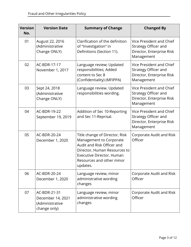| <b>Version</b><br>No. | <b>Version Date</b>                                                  | <b>Summary of Change</b>                                                                                                                                                                      | <b>Changed By</b>                                                                           |
|-----------------------|----------------------------------------------------------------------|-----------------------------------------------------------------------------------------------------------------------------------------------------------------------------------------------|---------------------------------------------------------------------------------------------|
| 01                    | August 22, 2016<br>(Administrative<br>Change ONLY)                   | Clarification of the definition<br>of "Investigation" in<br>Definitions (Section 11).                                                                                                         | Vice President and Chief<br>Strategy Officer and<br>Director, Enterprise Risk<br>Management |
| 02                    | AC-BDR-17-17<br>November 1, 2017                                     | Language review; Updated<br>responsibilities; Added<br>content to Sec 8<br>(Confidentiality) (MFIPPA)                                                                                         | Vice President and Chief<br>Strategy Officer and<br>Director, Enterprise Risk<br>Management |
| 03                    | Sept 24, 2018<br>(Administrative<br>Change ONLY)                     | Language review. Updated<br>responsibilities wording.                                                                                                                                         | Vice President and Chief<br>Strategy Officer and<br>Director, Enterprise Risk<br>Management |
| 04                    | AC-BDR-19-22<br>September 19, 2019                                   | Addition of Sec 10-Reporting<br>and Sec 11-Reprisal.                                                                                                                                          | Vice President and Chief<br>Strategy Officer and<br>Director, Enterprise Risk<br>Management |
| 05                    | AC-BDR-20-24<br>December 1, 2020                                     | Title change of Director, Risk<br>Management to Corporate<br>Audit and Risk Officer and<br>Director, Human Resources to<br>Executive Director, Human<br>Resources and other minor<br>updates. | Corporate Audit and Risk<br>Officer                                                         |
| 06                    | AC-BDR-20-24<br>December 1, 2020                                     | Language review, minor<br>administrative wording<br>changes                                                                                                                                   | Corporate Audit and Risk<br>Officer                                                         |
| 07                    | AC-BDR-21-31<br>December 14, 2021<br>(Administrative<br>change only) | Language review, minor<br>administrative wording<br>changes                                                                                                                                   | Corporate Audit and Risk<br>Officer                                                         |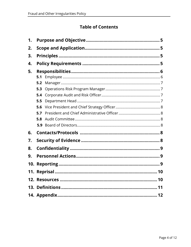## **Table of Contents**

| 1. |     |  |  |
|----|-----|--|--|
| 2. |     |  |  |
| 3. |     |  |  |
| 4. |     |  |  |
| 5. |     |  |  |
|    | 5.1 |  |  |
|    | 5.2 |  |  |
|    | 5.3 |  |  |
|    | 5.4 |  |  |
|    | 5.5 |  |  |
|    | 5.6 |  |  |
|    | 5.7 |  |  |
|    | 5.8 |  |  |
|    | 5.9 |  |  |
| 6. |     |  |  |
| 7. |     |  |  |
| 8. |     |  |  |
| 9. |     |  |  |
|    |     |  |  |
|    |     |  |  |
|    |     |  |  |
|    |     |  |  |
|    |     |  |  |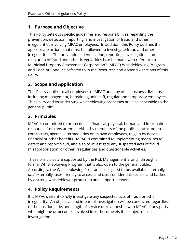## <span id="page-4-0"></span>**1. Purpose and Objective**

This Policy sets out specific guidelines and responsibilities regarding the prevention, detection, reporting, and investigation of fraud and other irregularities involving MPAC employees. In addition, this Policy outlines the appropriate actions that must be followed to investigate fraud and other irregularities. The prevention, identification, reporting, investigation, and resolution of fraud and other irregularities is to be made with reference to Municipal Property Assessment Corporation's (MPAC) Whistleblowing Program, and Code of Conduct, referred to in the Resources and Appendix sections of this Policy.

## <span id="page-4-1"></span>**2. Scope and Application**

This Policy applies to all employees of MPAC and any of its business divisions including management, bargaining unit staff, regular and temporary employees. This Policy and its underlying whistleblowing processes are also accessible to the general public.

## <span id="page-4-2"></span>**3. Principles**

MPAC is committed to protecting its financial, physical, human, and information resources from any attempt, either by members of the public, contractors, subcontractors, agents, intermediaries or its own employees, to gain by deceit, financial or other benefits. MPAC is committed to implementing measures to detect and report fraud, and also to investigate any suspected acts of fraud, misappropriation, or other irregularities and questionable activities.

These principles are supported by the Risk Management Branch through a formal Whistleblowing Program that is also open to the general public. Accordingly, the Whistleblowing Program is designed to be: available internally *and* externally; user friendly to access and use; confidential; secure; and backed by a strong whistleblower protection and support network.

## <span id="page-4-3"></span>**4. Policy Requirements**

It is MPAC's intent to fully investigate any suspected acts of fraud or other irregularity. An objective and impartial investigation will be conducted regardless of the position, title, and length of service or relationship with MPAC of any party who might be or becomes involved in, or becomes/is the subject of such investigation.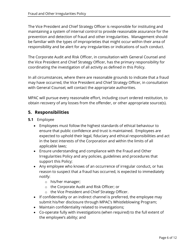The Vice President and Chief Strategy Officer is responsible for instituting and maintaining a system of internal control to provide reasonable assurance for the prevention and detection of fraud and other irregularities. Management should be familiar with the types of improprieties that might occur within their area of responsibility and be alert for any irregularities or indications of such conduct.

The Corporate Audit and Risk Officer, in consultation with General Counsel and the Vice President and Chief Strategy Officer, has the primary responsibility for coordinating the investigation of all activity as defined in this Policy.

In all circumstances, where there are reasonable grounds to indicate that a fraud may have occurred, the Vice President and Chief Strategy Officer, in consultation with General Counsel, will contact the appropriate authorities.

MPAC will pursue every reasonable effort, including court ordered restitution, to obtain recovery of any losses from the offender, or other appropriate source(s).

#### <span id="page-5-0"></span>**5. Responsibilities**

- <span id="page-5-1"></span>**5.1** Employee
	- Employees must follow the highest standards of ethical behaviour to ensure that public confidence and trust is maintained. Employees are expected to uphold their legal, fiduciary and ethical responsibilities and act in the best interests of the Corporation and within the limits of all applicable laws;
	- Ensure understanding and compliance with the Fraud and Other Irregularities Policy and any policies, guidelines and procedures that support this Policy;
	- Any employee who knows of an occurrence of irregular conduct, or has reason to suspect that a fraud has occurred, is expected to immediately notify:
		- o his/her manager;
		- o the Corporate Audit and Risk Officer; or
		- o the Vice President and Chief Strategy Officer.
	- If confidentiality or an indirect channel is preferred, the employee may submit his/her disclosure through MPAC's Whistleblowing Program;
	- Maintain confidentiality related to investigations;
	- Co-operate fully with investigations (when required) to the full extent of the employee's ability; and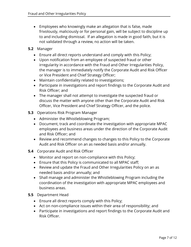- Employees who knowingly make an allegation that is false, made frivolously, maliciously or for personal gain, will be subject to discipline up to and including dismissal. If an allegation is made in good faith, but it is not validated through a review, no action will be taken.
- <span id="page-6-0"></span>**5.2** Manager
	- Ensure all direct reports understand and comply with this Policy;
	- Upon notification from an employee of suspected fraud or other irregularity in accordance with the Fraud and Other Irregularities Policy, the manager is to immediately notify the Corporate Audit and Risk Officer or Vice President and Chief Strategy Officer;
	- Maintain confidentiality related to investigations;
	- Participate in investigations and report findings to the Corporate Audit and Risk Officer; and
	- The manager shall not attempt to investigate the suspected fraud or discuss the matter with anyone other than the Corporate Audit and Risk Officer, Vice President and Chief Strategy Officer, and the police.
- <span id="page-6-1"></span>**5.3** Operations Risk Program Manager
	- Administer the Whistleblowing Program;
	- Document, track and coordinate the investigation with appropriate MPAC employees and business areas under the direction of the Corporate Audit and Risk Officer; and
	- Review and recommend changes to changes to this Policy to the Corporate Audit and Risk Officer on an as needed basis and/or annually.
- <span id="page-6-2"></span>**5.4** Corporate Audit and Risk Officer
	- Monitor and report on non-compliance with this Policy;
	- Ensure that this Policy is communicated to all MPAC staff;
	- Review and update the Fraud and Other Irregularities Policy on an as needed basis and/or annually; and
	- Shall manage and administer the Whistleblowing Program including the coordination of the investigation with appropriate MPAC employees and business areas.
- <span id="page-6-3"></span>**5.5** Department Head
	- Ensure all direct reports comply with this Policy;
	- Act on non-compliance issues within their area of responsibility; and
	- Participate in investigations and report findings to the Corporate Audit and Risk Officer.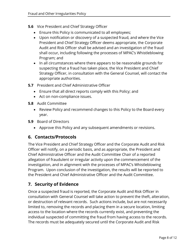- <span id="page-7-0"></span>**5.6** Vice President and Chief Strategy Officer
	- Ensure this Policy is communicated to all employees;
	- Upon notification or discovery of a suspected fraud, and where the Vice President and Chief Strategy Officer deems appropriate, the Corporate Audit and Risk Officer shall be advised and an investigation of the fraud shall occur, including following the processes of MPAC's Whistleblowing Program; and
	- In all circumstances where there appears to be reasonable grounds for suspecting that a fraud has taken place, the Vice President and Chief Strategy Officer, in consultation with the General Counsel, will contact the appropriate authorities.
- <span id="page-7-1"></span>**5.7** President and Chief Administrative Officer
	- Ensure that all direct reports comply with this Policy; and
	- Act on non-compliance issues.
- <span id="page-7-2"></span>**5.8** Audit Committee
	- Review Policy and recommend changes to this Policy to the Board every year.
- <span id="page-7-3"></span>**5.9** Board of Directors
	- Approve this Policy and any subsequent amendments or revisions.

#### <span id="page-7-4"></span>**6. Contacts/Protocols**

The Vice President and Chief Strategy Officer and the Corporate Audit and Risk Officer will notify, on a periodic basis, and as appropriate, the President and Chief Administrative Officer and the Audit Committee Chair of a reported allegation of fraudulent or irregular activity upon the commencement of the investigation, and in alignment with the processes of MPAC's Whistleblowing Program. Upon conclusion of the investigation, the results will be reported to the President and Chief Administrative Officer and the Audit Committee.

## <span id="page-7-5"></span>**7. Security of Evidence**

Once a suspected fraud is reported, the Corporate Audit and Risk Officer in consultation with General Counsel will take action to prevent the theft, alteration, or destruction of relevant records. Such actions include, but are not necessarily limited to, removing the records and placing them in a secure location, limiting access to the location where the records currently exist, and preventing the individual suspected of committing the fraud from having access to the records. The records must be adequately secured until the Corporate Audit and Risk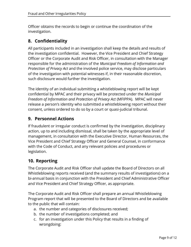Officer obtains the records to begin or continue the coordination of the investigation.

#### <span id="page-8-0"></span>**8. Confidentiality**

All participants included in an investigation shall keep the details and results of the investigation confidential. However, the Vice President and Chief Strategy Officer or the Corporate Audit and Risk Officer, in consultation with the Manager responsible for the administration of the *Municipal Freedom of Information and Protection of Privacy Act* and the involved police service, may disclose particulars of the investigation with potential witnesses if, in their reasonable discretion, such disclosure would further the investigation.

The identity of an individual submitting a whistleblowing report will be kept confidential by MPAC and their privacy will be protected under the *Municipal Freedom of Information and Protection of Privacy Act* (MFIPPA). MPAC will never release a person's identity who submitted a whistleblowing report without their consent, unless ordered to do so by a court or quasi-judicial tribunal.

#### <span id="page-8-1"></span>**9. Personnel Actions**

If fraudulent or irregular conduct is confirmed by the investigation, disciplinary action, up to and including dismissal, shall be taken by the appropriate level of management, in consultation with the Executive Director, Human Resources, the Vice President and Chief Strategy Officer and General Counsel, in conformance with the Code of Conduct, and any relevant policies and procedures or legislation.

#### <span id="page-8-2"></span>**10. Reporting**

The Corporate Audit and Risk Officer shall update the Board of Directors on all Whistleblowing reports received (and the summary results of investigations) on a bi-annual basis in conjunction with the President and Chief Administrative Officer and Vice President and Chief Strategy Officer, as appropriate.

The Corporate Audit and Risk Officer shall prepare an annual Whistleblowing Program report that will be presented to the Board of Directors and be available to the public that will contain:

- a. the number and categories of disclosures received;
- b. the number of investigations completed; and
- c. for an investigation under this Policy that results in a finding of wrongdoing: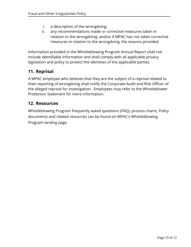- i. a description of the wrongdoing;
- ii. any recommendations made or corrective measures taken in relation to the wrongdoing; and/or if MPAC has not taken corrective measures in relation to the wrongdoing, the reasons provided.

Information provided in the Whistleblowing Program Annual Report shall not include identifiable information and shall comply with all applicable privacy legislation and policy to protect the identities of the applicable parties.

## <span id="page-9-0"></span>**11. Reprisal**

A MPAC employee who believes that they are the subject of a reprisal related to their reporting of wrongdoing shall notify the Corporate Audit and Risk Officer of the alleged reprisal for investigation. Employees may refer to the Whistleblower Protection Statement for more information.

#### <span id="page-9-1"></span>**12. Resources**

Whistleblowing Program frequently asked questions (FAQ), process charts, Policy documents and related resources can be found on MPAC's Whistleblowing Program landing page.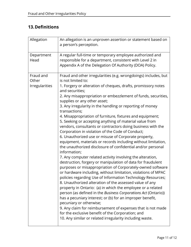## <span id="page-10-0"></span>**13.Definitions**

| Allegation                                  | An allegation is an unproven assertion or statement based on<br>a person's perception.                                                                                                                                                                                                                                                                                                                                                                                                                                                                                                                                                                                                                                                                                                                                                                                                                                                                                                                                                                                                                                                                                                                                                                                                                                                                                                                                                                                                                                                         |
|---------------------------------------------|------------------------------------------------------------------------------------------------------------------------------------------------------------------------------------------------------------------------------------------------------------------------------------------------------------------------------------------------------------------------------------------------------------------------------------------------------------------------------------------------------------------------------------------------------------------------------------------------------------------------------------------------------------------------------------------------------------------------------------------------------------------------------------------------------------------------------------------------------------------------------------------------------------------------------------------------------------------------------------------------------------------------------------------------------------------------------------------------------------------------------------------------------------------------------------------------------------------------------------------------------------------------------------------------------------------------------------------------------------------------------------------------------------------------------------------------------------------------------------------------------------------------------------------------|
| Department<br>Head                          | A regular full-time or temporary employee authorized and<br>responsible for a department, consistent with Level 2 in<br>Appendix A of the Delegation Of Authority (DOA) Policy.                                                                                                                                                                                                                                                                                                                                                                                                                                                                                                                                                                                                                                                                                                                                                                                                                                                                                                                                                                                                                                                                                                                                                                                                                                                                                                                                                                |
| Fraud and<br>Other<br><b>Irregularities</b> | Fraud and other irregularities (e.g. wrongdoings) includes, but<br>is not limited to:<br>1. Forgery or alteration of cheques, drafts, promissory notes<br>and securities;<br>2. Any misappropriation or embezzlement of funds, securities,<br>supplies or any other asset;<br>3. Any irregularity in the handling or reporting of money<br>transactions;<br>4. Misappropriation of furniture, fixtures and equipment;<br>5. Seeking or accepting anything of material value from<br>vendors, consultants or contractors doing business with the<br>Corporation in violation of the Code of Conduct;<br>6. Unauthorized use or misuse of Corporate property,<br>equipment, materials or records including without limitation,<br>the unauthorized disclosure of confidential and/or personal<br>information;<br>7. Any computer related activity involving the alteration,<br>destruction, forgery or manipulation of data for fraudulent<br>purposes or misappropriation of Corporately-owned software<br>or hardware including, without limitation, violations of MPAC<br>policies regarding Use of Information Technology Resources;<br>8. Unauthorized alteration of the assessed value of any<br>property in Ontario: (a) in which the employee or a related<br>person (as defined in the Business Corporations Act (Ontario))<br>has a pecuniary interest; or (b) for an improper benefit,<br>pecuniary or otherwise;<br>9. Any claim for reimbursement of expenses that is not made<br>for the exclusive benefit of the Corporation; and |
|                                             | 10. Any similar or related irregularity including waste.                                                                                                                                                                                                                                                                                                                                                                                                                                                                                                                                                                                                                                                                                                                                                                                                                                                                                                                                                                                                                                                                                                                                                                                                                                                                                                                                                                                                                                                                                       |